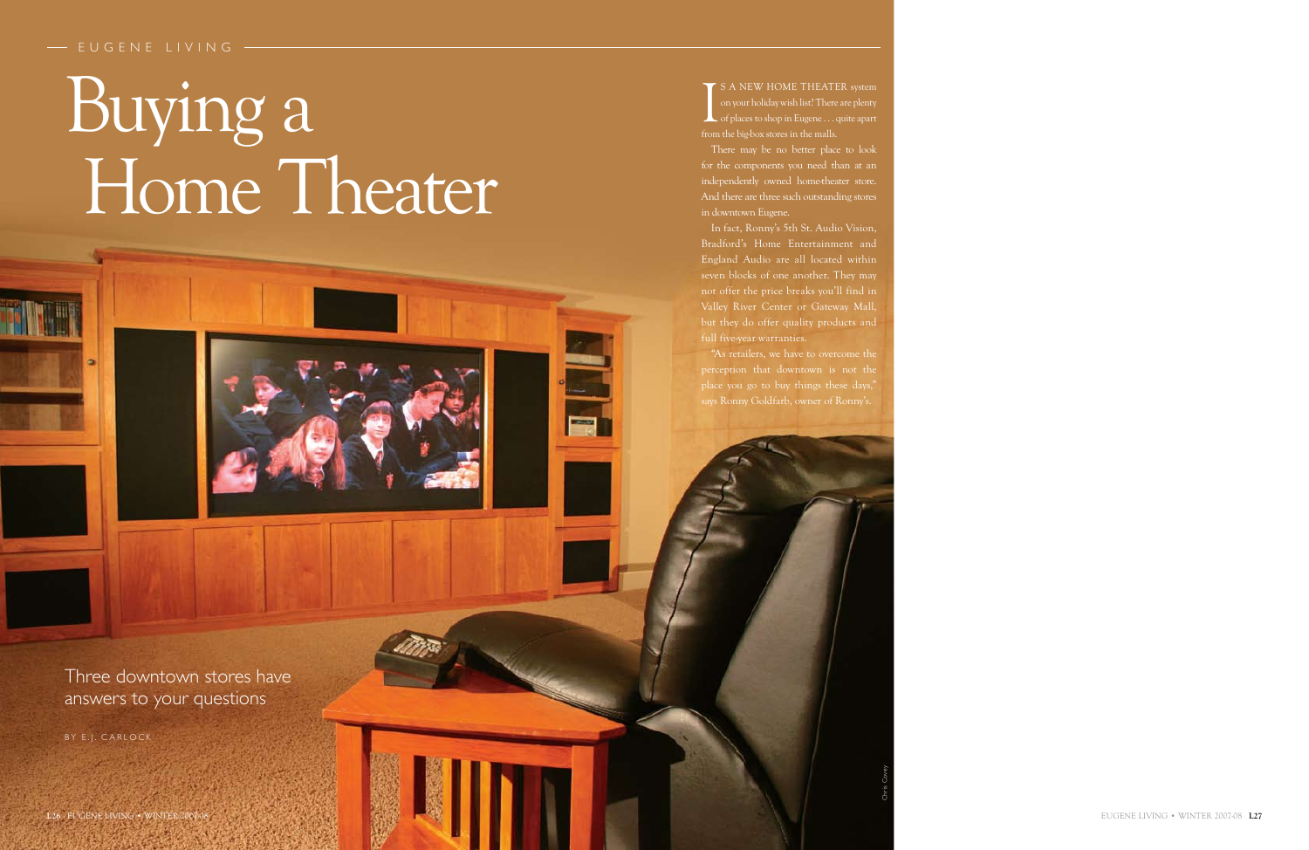There may be no better place to look for the components you need than at an independently owned home-theater store. And there are three such outstanding stores in downtown Eugene.

# - EUGENE LIVING

# Buying a Home Theater

In fact, Ronny's 5th St. Audio Vision, Bradford's Home Entertainment and England Audio are all located within seven blocks of one another. They may not offer the price breaks you'll find in Valley River Center or Gateway Mall, but they do offer quality products and full five-year warranties.

"As retailers, we have to overcome the perception that downtown is not the place you go to buy things these days," says Ronny Goldfarb, owner of Ronny's.

BY E.J. CARLOCK

Three downtown stores have answers to your questions